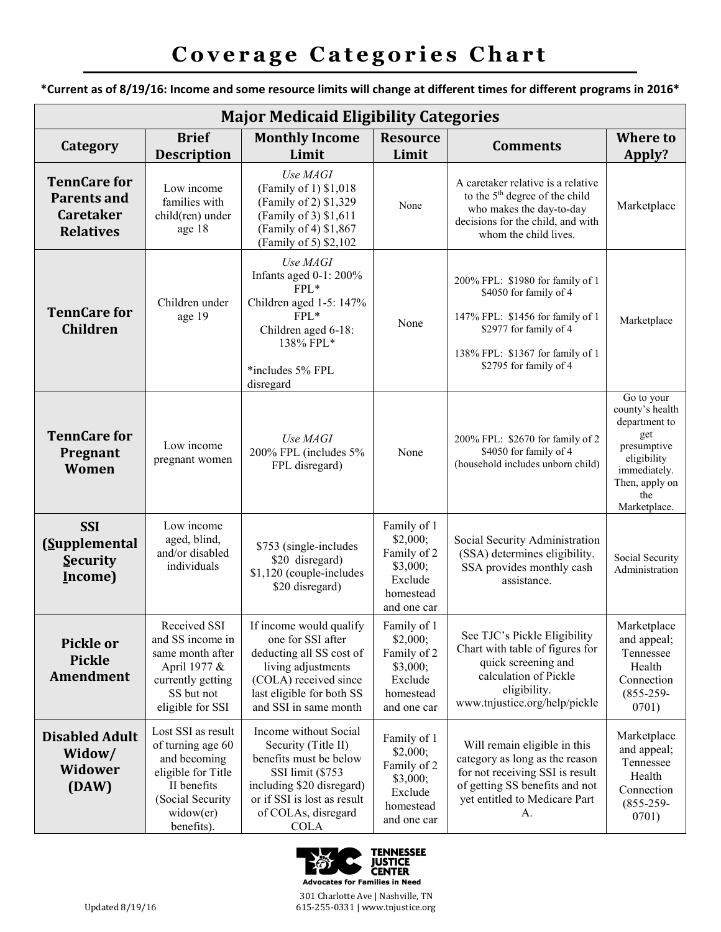\*Current as of 8/19/16: Income and some resource limits will change at different times for different programs in 2016\*

| <b>Major Medicaid Eligibility Categories</b>                                      |                                                                                                                                                                                                                                                                                                                                             |                                                                                                                                                                               |                                                                                           |                                                                                                                                                                                        |                                                                                                                                              |  |
|-----------------------------------------------------------------------------------|---------------------------------------------------------------------------------------------------------------------------------------------------------------------------------------------------------------------------------------------------------------------------------------------------------------------------------------------|-------------------------------------------------------------------------------------------------------------------------------------------------------------------------------|-------------------------------------------------------------------------------------------|----------------------------------------------------------------------------------------------------------------------------------------------------------------------------------------|----------------------------------------------------------------------------------------------------------------------------------------------|--|
| Category                                                                          | <b>Brief</b><br><b>Description</b>                                                                                                                                                                                                                                                                                                          | <b>Monthly Income</b><br>Limit                                                                                                                                                | <b>Resource</b><br>Limit                                                                  | <b>Comments</b>                                                                                                                                                                        | <b>Where to</b><br>Apply?                                                                                                                    |  |
| <b>TennCare for</b><br><b>Parents and</b><br><b>Caretaker</b><br><b>Relatives</b> | Low income<br>families with<br>child(ren) under<br>age 18                                                                                                                                                                                                                                                                                   | Use MAGI<br>(Family of 1) \$1,018<br>(Family of 2) \$1,329<br>(Family of 3) \$1,611<br>(Family of 4) \$1,867<br>(Family of 5) \$2,102                                         | None                                                                                      | A caretaker relative is a relative<br>to the 5 <sup>th</sup> degree of the child<br>who makes the day-to-day<br>decisions for the child, and with<br>whom the child lives.             | Marketplace                                                                                                                                  |  |
| <b>TennCare for</b><br><b>Children</b>                                            | Children under<br>age 19                                                                                                                                                                                                                                                                                                                    | Use MAGI<br>Infants aged 0-1: 200%<br>FPL*<br>Children aged 1-5: 147%<br>FPL*<br>Children aged 6-18:<br>138% FPL*<br>*includes 5% FPL<br>disregard                            | None                                                                                      | 200% FPL: \$1980 for family of 1<br>\$4050 for family of 4<br>147% FPL: \$1456 for family of 1<br>\$2977 for family of 4<br>138% FPL: \$1367 for family of 1<br>\$2795 for family of 4 | Marketplace                                                                                                                                  |  |
| <b>TennCare for</b><br>Pregnant<br>Women                                          | Low income<br>pregnant women                                                                                                                                                                                                                                                                                                                | Use MAGI<br>200% FPL (includes 5%<br>FPL disregard)                                                                                                                           | None                                                                                      | 200% FPL: \$2670 for family of 2<br>\$4050 for family of 4<br>(household includes unborn child)                                                                                        | Go to your<br>county's health<br>department to<br>get<br>presumptive<br>eligibility<br>immediately.<br>Then, apply on<br>the<br>Marketplace. |  |
| <b>SSI</b><br>(Supplemental<br><b>Security</b><br>Income)                         | Low income<br>aged, blind,<br>and/or disabled<br>individuals                                                                                                                                                                                                                                                                                | \$753 (single-includes<br>\$20 disregard)<br>\$1,120 (couple-includes<br>\$20 disregard)                                                                                      |                                                                                           | Social Security Administration<br>(SSA) determines eligibility.<br>SSA provides monthly cash<br>assistance.                                                                            | Social Security<br>Administration                                                                                                            |  |
| Pickle or<br><b>Pickle</b><br>Amendment                                           | Received SSI<br>and SS income in<br>same month after<br>April 1977 &<br>currently getting<br>SS but not<br>eligible for SSI                                                                                                                                                                                                                 | If income would qualify<br>one for SSI after<br>deducting all SS cost of<br>living adjustments<br>(COLA) received since<br>last eligible for both SS<br>and SSI in same month | Family of 1<br>\$2,000;<br>Family of 2<br>\$3,000;<br>Exclude<br>homestead<br>and one car | See TJC's Pickle Eligibility<br>Chart with table of figures for<br>quick screening and<br>calculation of Pickle<br>eligibility.<br>www.tnjustice.org/help/pickle                       | Marketplace<br>and appeal;<br>Tennessee<br>Health<br>Connection<br>$(855-259-$<br>0701)                                                      |  |
| <b>Disabled Adult</b><br>Widow/<br>Widower<br>(DAW)                               | Lost SSI as result<br>Income without Social<br>of turning age 60<br>Security (Title II)<br>and becoming<br>benefits must be below<br>eligible for Title<br>SSI limit (\$753<br>II benefits<br>including \$20 disregard)<br>(Social Security<br>or if SSI is lost as result<br>of COLAs, disregard<br>widow(er)<br>benefits).<br><b>COLA</b> |                                                                                                                                                                               | Family of 1<br>\$2,000;<br>Family of 2<br>\$3,000;<br>Exclude<br>homestead<br>and one car | Will remain eligible in this<br>category as long as the reason<br>for not receiving SSI is result<br>of getting SS benefits and not<br>yet entitled to Medicare Part<br>А.             | Marketplace<br>and appeal;<br>Tennessee<br>Health<br>Connection<br>$(855-259-$<br>0701)                                                      |  |



 301 Charlotte Ave | Nashville, TN Updated 8/19/16 615-255-0331 | www.tnjustice.org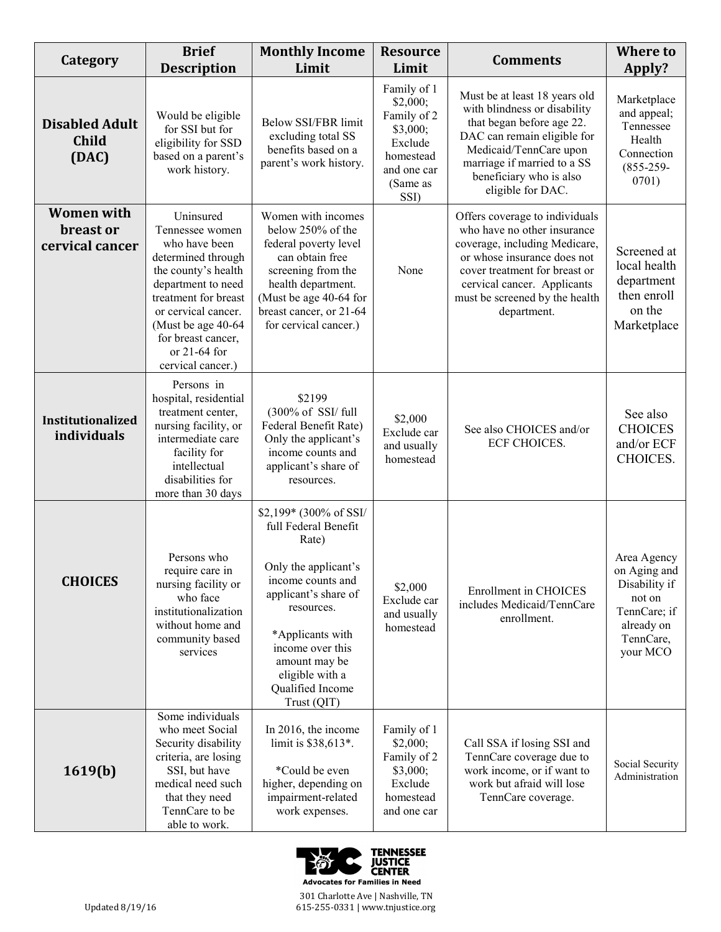| Category                                          | <b>Brief</b><br><b>Description</b>                                                                                                                                                                                                                | <b>Monthly Income</b><br>Limit                                                                                                                                                                                                                            | <b>Resource</b><br>Limit                                                                                      | <b>Comments</b>                                                                                                                                                                                                                                | <b>Where to</b><br>Apply?                                                                                     |
|---------------------------------------------------|---------------------------------------------------------------------------------------------------------------------------------------------------------------------------------------------------------------------------------------------------|-----------------------------------------------------------------------------------------------------------------------------------------------------------------------------------------------------------------------------------------------------------|---------------------------------------------------------------------------------------------------------------|------------------------------------------------------------------------------------------------------------------------------------------------------------------------------------------------------------------------------------------------|---------------------------------------------------------------------------------------------------------------|
| <b>Disabled Adult</b><br><b>Child</b><br>(DAC)    | Would be eligible<br>for SSI but for<br>eligibility for SSD<br>based on a parent's<br>work history.                                                                                                                                               | Below SSI/FBR limit<br>excluding total SS<br>benefits based on a<br>parent's work history.                                                                                                                                                                | Family of 1<br>\$2,000;<br>Family of 2<br>\$3,000;<br>Exclude<br>homestead<br>and one car<br>(Same as<br>SSI) | Must be at least 18 years old<br>with blindness or disability<br>that began before age 22.<br>DAC can remain eligible for<br>Medicaid/TennCare upon<br>marriage if married to a SS<br>beneficiary who is also<br>eligible for DAC.             | Marketplace<br>and appeal;<br>Tennessee<br>Health<br>Connection<br>$(855 - 259 -$<br>0701)                    |
| <b>Women with</b><br>breast or<br>cervical cancer | Uninsured<br>Tennessee women<br>who have been<br>determined through<br>the county's health<br>department to need<br>treatment for breast<br>or cervical cancer.<br>(Must be age 40-64)<br>for breast cancer,<br>or 21-64 for<br>cervical cancer.) | Women with incomes<br>below 250% of the<br>federal poverty level<br>can obtain free<br>screening from the<br>health department.<br>(Must be age 40-64 for<br>breast cancer, or 21-64<br>for cervical cancer.)                                             | None                                                                                                          | Offers coverage to individuals<br>who have no other insurance<br>coverage, including Medicare,<br>or whose insurance does not<br>cover treatment for breast or<br>cervical cancer. Applicants<br>must be screened by the health<br>department. | Screened at<br>local health<br>department<br>then enroll<br>on the<br>Marketplace                             |
| <b>Institutionalized</b><br>individuals           | Persons in<br>hospital, residential<br>treatment center,<br>nursing facility, or<br>intermediate care<br>facility for<br>intellectual<br>disabilities for<br>more than 30 days                                                                    | \$2199<br>(300% of SSI/ full<br>Federal Benefit Rate)<br>Only the applicant's<br>income counts and<br>applicant's share of<br>resources.                                                                                                                  | \$2,000<br>Exclude car<br>and usually<br>homestead                                                            | See also CHOICES and/or<br>ECF CHOICES.                                                                                                                                                                                                        | See also<br><b>CHOICES</b><br>and/or ECF<br>CHOICES.                                                          |
| <b>CHOICES</b>                                    | Persons who<br>require care in<br>nursing facility or<br>who face<br>institutionalization<br>without home and<br>community based<br>services                                                                                                      | \$2,199* (300% of SSI/<br>full Federal Benefit<br>Rate)<br>Only the applicant's<br>income counts and<br>applicant's share of<br>resources.<br>*Applicants with<br>income over this<br>amount may be<br>eligible with a<br>Qualified Income<br>Trust (QIT) | \$2,000<br>Exclude car<br>and usually<br>homestead                                                            | <b>Enrollment in CHOICES</b><br>includes Medicaid/TennCare<br>enrollment.                                                                                                                                                                      | Area Agency<br>on Aging and<br>Disability if<br>not on<br>TennCare; if<br>already on<br>TennCare,<br>your MCO |
| 1619(b)                                           | Some individuals<br>who meet Social<br>Security disability<br>criteria, are losing<br>SSI, but have<br>medical need such<br>that they need<br>TennCare to be<br>able to work.                                                                     | In 2016, the income<br>limit is \$38,613*.<br>*Could be even<br>higher, depending on<br>impairment-related<br>work expenses.                                                                                                                              | Family of 1<br>\$2,000;<br>Family of 2<br>\$3,000;<br>Exclude<br>homestead<br>and one car                     | Call SSA if losing SSI and<br>TennCare coverage due to<br>work income, or if want to<br>work but afraid will lose<br>TennCare coverage.                                                                                                        | Social Security<br>Administration                                                                             |



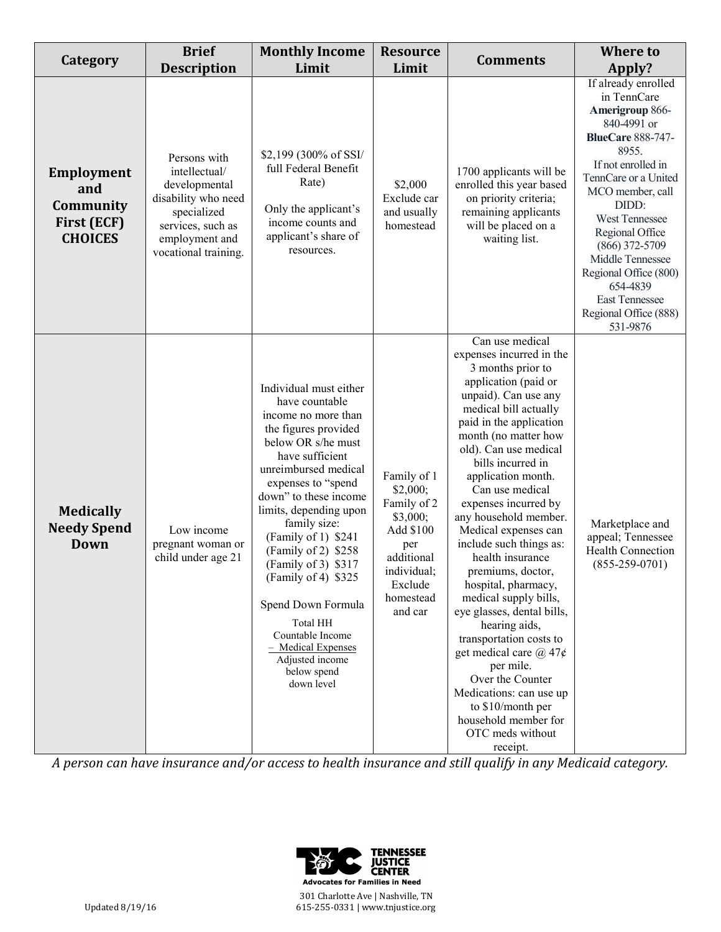| Category                                                                      | <b>Brief</b><br><b>Description</b>                                                                                                                  | <b>Monthly Income</b><br>Limit                                                                                                                                                                                                                                                                                                                                                                                                                                                   | <b>Resource</b><br>Limit                                                                                                               | <b>Comments</b>                                                                                                                                                                                                                                                                                                                                                                                                                                                                                                                                                                                                                                                                                                                      | <b>Where to</b><br>Apply?                                                                                                                                                                                                                                                                                                                                                   |
|-------------------------------------------------------------------------------|-----------------------------------------------------------------------------------------------------------------------------------------------------|----------------------------------------------------------------------------------------------------------------------------------------------------------------------------------------------------------------------------------------------------------------------------------------------------------------------------------------------------------------------------------------------------------------------------------------------------------------------------------|----------------------------------------------------------------------------------------------------------------------------------------|--------------------------------------------------------------------------------------------------------------------------------------------------------------------------------------------------------------------------------------------------------------------------------------------------------------------------------------------------------------------------------------------------------------------------------------------------------------------------------------------------------------------------------------------------------------------------------------------------------------------------------------------------------------------------------------------------------------------------------------|-----------------------------------------------------------------------------------------------------------------------------------------------------------------------------------------------------------------------------------------------------------------------------------------------------------------------------------------------------------------------------|
| <b>Employment</b><br>and<br>Community<br><b>First (ECF)</b><br><b>CHOICES</b> | Persons with<br>intellectual/<br>developmental<br>disability who need<br>specialized<br>services, such as<br>employment and<br>vocational training. | \$2,199 (300% of SSI/<br>full Federal Benefit<br>Rate)<br>Only the applicant's<br>income counts and<br>applicant's share of<br>resources.                                                                                                                                                                                                                                                                                                                                        | \$2,000<br>Exclude car<br>and usually<br>homestead                                                                                     | 1700 applicants will be<br>enrolled this year based<br>on priority criteria;<br>remaining applicants<br>will be placed on a<br>waiting list.                                                                                                                                                                                                                                                                                                                                                                                                                                                                                                                                                                                         | If already enrolled<br>in TennCare<br>Amerigroup 866-<br>840-4991 or<br><b>BlueCare 888-747-</b><br>8955.<br>If not enrolled in<br>TennCare or a United<br>MCO member, call<br>DIDD:<br>West Tennessee<br>Regional Office<br>$(866)$ 372-5709<br><b>Middle Tennessee</b><br>Regional Office (800)<br>654-4839<br><b>East Tennessee</b><br>Regional Office (888)<br>531-9876 |
| <b>Medically</b><br><b>Needy Spend</b><br><b>Down</b>                         | Low income<br>pregnant woman or<br>child under age 21                                                                                               | Individual must either<br>have countable<br>income no more than<br>the figures provided<br>below OR s/he must<br>have sufficient<br>unreimbursed medical<br>expenses to "spend<br>down" to these income<br>limits, depending upon<br>family size:<br>(Family of 1) \$241<br>(Family of 2) \$258<br>(Family of 3) \$317<br>(Family of 4) \$325<br>Spend Down Formula<br><b>Total HH</b><br>Countable Income<br>- Medical Expenses<br>Adjusted income<br>below spend<br>down level | Family of 1<br>\$2,000;<br>Family of 2<br>\$3,000;<br>Add \$100<br>per<br>additional<br>individual;<br>Exclude<br>homestead<br>and car | Can use medical<br>expenses incurred in the<br>3 months prior to<br>application (paid or<br>unpaid). Can use any<br>medical bill actually<br>paid in the application<br>month (no matter how<br>old). Can use medical<br>bills incurred in<br>application month.<br>Can use medical<br>expenses incurred by<br>any household member.<br>Medical expenses can<br>include such things as:<br>health insurance<br>premiums, doctor,<br>hospital, pharmacy,<br>medical supply bills,<br>eye glasses, dental bills,<br>hearing aids,<br>transportation costs to<br>get medical care $\omega$ 47¢<br>per mile.<br>Over the Counter<br>Medications: can use up<br>to \$10/month per<br>household member for<br>OTC meds without<br>receipt. | Marketplace and<br>appeal; Tennessee<br>Health Connection<br>$(855-259-0701)$                                                                                                                                                                                                                                                                                               |

*A person can have insurance and/or access to health insurance and still qualify in any Medicaid category.*

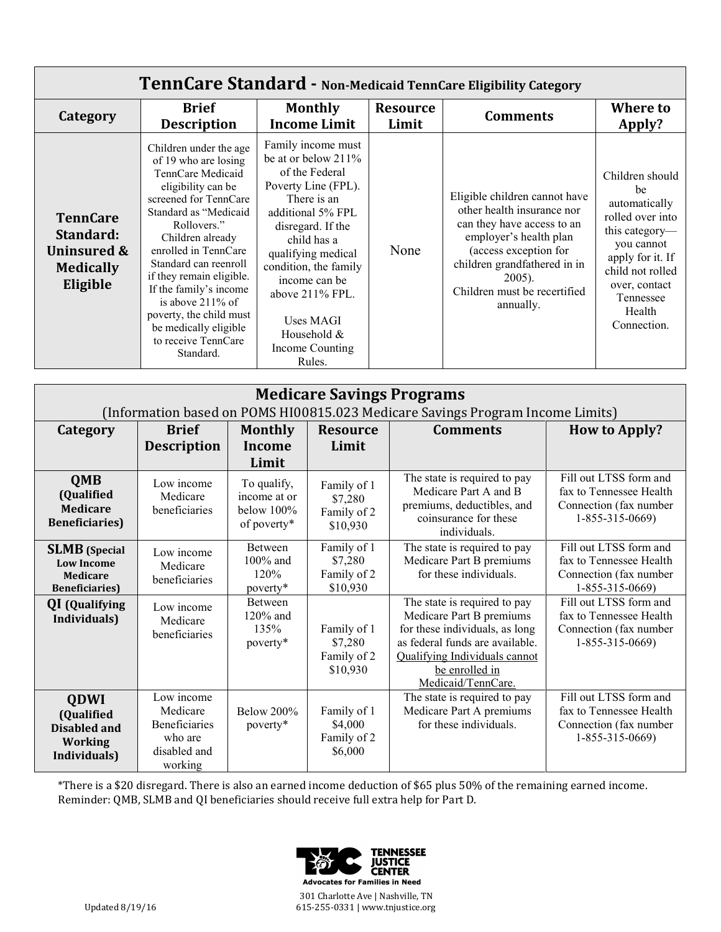| <b>TennCare Standard - Non-Medicaid TennCare Eligibility Category</b>       |                                                                                                                                                                                                                                                                                                                                                                                                       |                                                                                                                                                                                                                                                                                                               |                          |                                                                                                                                                                                                                                        |                                                                                                                                                                                           |  |
|-----------------------------------------------------------------------------|-------------------------------------------------------------------------------------------------------------------------------------------------------------------------------------------------------------------------------------------------------------------------------------------------------------------------------------------------------------------------------------------------------|---------------------------------------------------------------------------------------------------------------------------------------------------------------------------------------------------------------------------------------------------------------------------------------------------------------|--------------------------|----------------------------------------------------------------------------------------------------------------------------------------------------------------------------------------------------------------------------------------|-------------------------------------------------------------------------------------------------------------------------------------------------------------------------------------------|--|
| Category                                                                    | <b>Brief</b><br><b>Description</b>                                                                                                                                                                                                                                                                                                                                                                    | <b>Monthly</b><br><b>Income Limit</b>                                                                                                                                                                                                                                                                         | <b>Resource</b><br>Limit | <b>Comments</b>                                                                                                                                                                                                                        | Where to<br>Apply?                                                                                                                                                                        |  |
| <b>TennCare</b><br>Standard:<br>Uninsured &<br><b>Medically</b><br>Eligible | Children under the age<br>of 19 who are losing<br>TennCare Medicaid<br>eligibility can be<br>screened for TennCare<br>Standard as "Medicaid"<br>Rollovers."<br>Children already<br>enrolled in TennCare<br>Standard can reenroll<br>if they remain eligible.<br>If the family's income<br>is above $211\%$ of<br>poverty, the child must<br>be medically eligible<br>to receive TennCare<br>Standard. | Family income must<br>be at or below 211%<br>of the Federal<br>Poverty Line (FPL).<br>There is an<br>additional 5% FPL<br>disregard. If the<br>child has a<br>qualifying medical<br>condition, the family<br>income can be<br>above 211% FPL.<br><b>Uses MAGI</b><br>Household &<br>Income Counting<br>Rules. | None                     | Eligible children cannot have<br>other health insurance nor<br>can they have access to an<br>employer's health plan<br>(access exception for<br>children grandfathered in in<br>$2005$ ).<br>Children must be recertified<br>annually. | Children should<br>be<br>automatically<br>rolled over into<br>this category—<br>you cannot<br>apply for it. If<br>child not rolled<br>over, contact<br>Tennessee<br>Health<br>Connection. |  |

| <b>Medicare Savings Programs</b>                                                       |                                                                                      |                                                             |                                                   |                                                                                                                                                                                                               |                                                                                                       |  |
|----------------------------------------------------------------------------------------|--------------------------------------------------------------------------------------|-------------------------------------------------------------|---------------------------------------------------|---------------------------------------------------------------------------------------------------------------------------------------------------------------------------------------------------------------|-------------------------------------------------------------------------------------------------------|--|
| (Information based on POMS HI00815.023 Medicare Savings Program Income Limits)         |                                                                                      |                                                             |                                                   |                                                                                                                                                                                                               |                                                                                                       |  |
| Category                                                                               | <b>Brief</b>                                                                         | <b>Monthly</b>                                              | <b>Resource</b>                                   | <b>Comments</b>                                                                                                                                                                                               | <b>How to Apply?</b>                                                                                  |  |
|                                                                                        | <b>Description</b>                                                                   | Income                                                      | Limit                                             |                                                                                                                                                                                                               |                                                                                                       |  |
|                                                                                        |                                                                                      | Limit                                                       |                                                   |                                                                                                                                                                                                               |                                                                                                       |  |
| <b>QMB</b><br>(Qualified<br><b>Medicare</b><br><b>Beneficiaries</b> )                  | Low income<br>Medicare<br>beneficiaries                                              | To qualify,<br>income at or<br>below $100\%$<br>of poverty* | Family of 1<br>\$7,280<br>Family of 2<br>\$10,930 | The state is required to pay<br>Medicare Part A and B<br>premiums, deductibles, and<br>coinsurance for these<br>individuals.                                                                                  | Fill out LTSS form and<br>fax to Tennessee Health<br>Connection (fax number<br>$1 - 855 - 315 - 0669$ |  |
| <b>SLMB</b> (Special<br><b>Low Income</b><br><b>Medicare</b><br><b>Beneficiaries</b> ) | Low income<br>Medicare<br>beneficiaries                                              | <b>Between</b><br>$100\%$ and<br>120%<br>poverty*           | Family of 1<br>\$7,280<br>Family of 2<br>\$10,930 | The state is required to pay<br>Medicare Part B premiums<br>for these individuals.                                                                                                                            | Fill out LTSS form and<br>fax to Tennessee Health<br>Connection (fax number<br>$1 - 855 - 315 - 0669$ |  |
| <b>QI</b> (Qualifying<br>Individuals)                                                  | Low income<br>Medicare<br>beneficiaries                                              | <b>Between</b><br>$120\%$ and<br>135%<br>poverty*           | Family of 1<br>\$7,280<br>Family of 2<br>\$10,930 | The state is required to pay<br>Medicare Part B premiums<br>for these individuals, as long<br>as federal funds are available.<br><b>Qualifying Individuals cannot</b><br>be enrolled in<br>Medicaid/TennCare. | Fill out LTSS form and<br>fax to Tennessee Health<br>Connection (fax number<br>$1-855-315-0669$       |  |
| <b>QDWI</b><br>(Qualified<br><b>Disabled and</b><br><b>Working</b><br>Individuals)     | Low income<br>Medicare<br><b>Beneficiaries</b><br>who are<br>disabled and<br>working | <b>Below 200%</b><br>poverty*                               | Family of 1<br>\$4,000<br>Family of 2<br>\$6,000  | The state is required to pay<br>Medicare Part A premiums<br>for these individuals.                                                                                                                            | Fill out LTSS form and<br>fax to Tennessee Health<br>Connection (fax number<br>$1 - 855 - 315 - 0669$ |  |

\*There is a \$20 disregard. There is also an earned income deduction of \$65 plus 50% of the remaining earned income. Reminder: QMB, SLMB and QI beneficiaries should receive full extra help for Part D.



 301 Charlotte Ave | Nashville, TN Updated 8/19/16 615-255-0331 | www.tnjustice.org